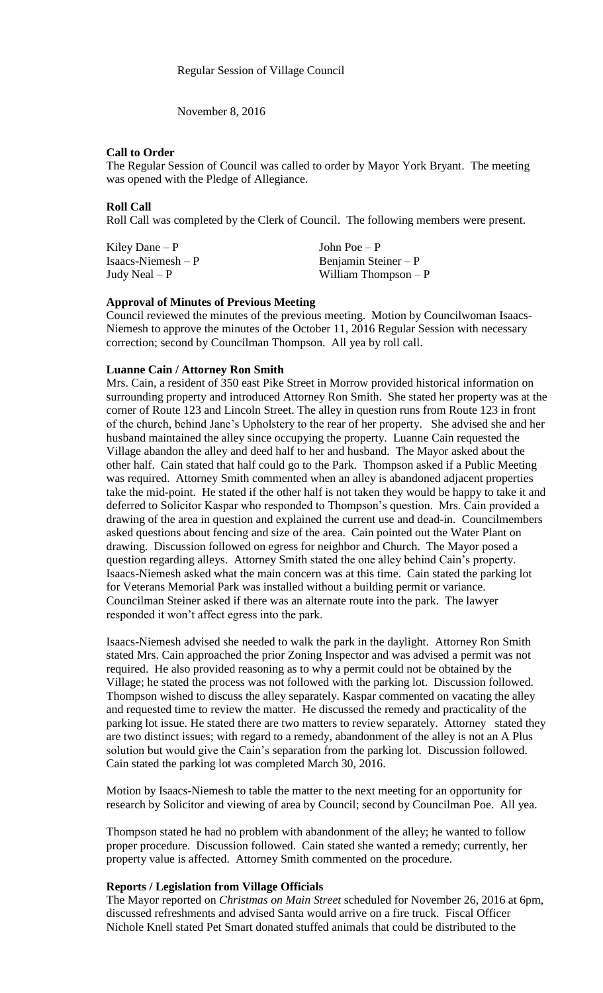November 8, 2016

## **Call to Order**

The Regular Session of Council was called to order by Mayor York Bryant. The meeting was opened with the Pledge of Allegiance.

## **Roll Call**

Roll Call was completed by the Clerk of Council. The following members were present.

| Kiley Dane $-P$      | John Poe $-P$         |
|----------------------|-----------------------|
| $Isaacs-Niemesh – P$ | Benjamin Steiner $-P$ |
| Judy Neal $-P$       | William Thompson $-P$ |

### **Approval of Minutes of Previous Meeting**

Council reviewed the minutes of the previous meeting. Motion by Councilwoman Isaacs-Niemesh to approve the minutes of the October 11, 2016 Regular Session with necessary correction; second by Councilman Thompson. All yea by roll call.

## **Luanne Cain / Attorney Ron Smith**

Mrs. Cain, a resident of 350 east Pike Street in Morrow provided historical information on surrounding property and introduced Attorney Ron Smith. She stated her property was at the corner of Route 123 and Lincoln Street. The alley in question runs from Route 123 in front of the church, behind Jane's Upholstery to the rear of her property. She advised she and her husband maintained the alley since occupying the property. Luanne Cain requested the Village abandon the alley and deed half to her and husband. The Mayor asked about the other half. Cain stated that half could go to the Park. Thompson asked if a Public Meeting was required. Attorney Smith commented when an alley is abandoned adjacent properties take the mid-point. He stated if the other half is not taken they would be happy to take it and deferred to Solicitor Kaspar who responded to Thompson's question. Mrs. Cain provided a drawing of the area in question and explained the current use and dead-in. Councilmembers asked questions about fencing and size of the area. Cain pointed out the Water Plant on drawing. Discussion followed on egress for neighbor and Church. The Mayor posed a question regarding alleys. Attorney Smith stated the one alley behind Cain's property. Isaacs-Niemesh asked what the main concern was at this time. Cain stated the parking lot for Veterans Memorial Park was installed without a building permit or variance. Councilman Steiner asked if there was an alternate route into the park. The lawyer responded it won't affect egress into the park.

Isaacs-Niemesh advised she needed to walk the park in the daylight. Attorney Ron Smith stated Mrs. Cain approached the prior Zoning Inspector and was advised a permit was not required. He also provided reasoning as to why a permit could not be obtained by the Village; he stated the process was not followed with the parking lot. Discussion followed. Thompson wished to discuss the alley separately. Kaspar commented on vacating the alley and requested time to review the matter. He discussed the remedy and practicality of the parking lot issue. He stated there are two matters to review separately. Attorney stated they are two distinct issues; with regard to a remedy, abandonment of the alley is not an A Plus solution but would give the Cain's separation from the parking lot. Discussion followed. Cain stated the parking lot was completed March 30, 2016.

Motion by Isaacs-Niemesh to table the matter to the next meeting for an opportunity for research by Solicitor and viewing of area by Council; second by Councilman Poe. All yea.

Thompson stated he had no problem with abandonment of the alley; he wanted to follow proper procedure. Discussion followed. Cain stated she wanted a remedy; currently, her property value is affected. Attorney Smith commented on the procedure.

### **Reports / Legislation from Village Officials**

The Mayor reported on *Christmas on Main Street* scheduled for November 26, 2016 at 6pm, discussed refreshments and advised Santa would arrive on a fire truck. Fiscal Officer Nichole Knell stated Pet Smart donated stuffed animals that could be distributed to the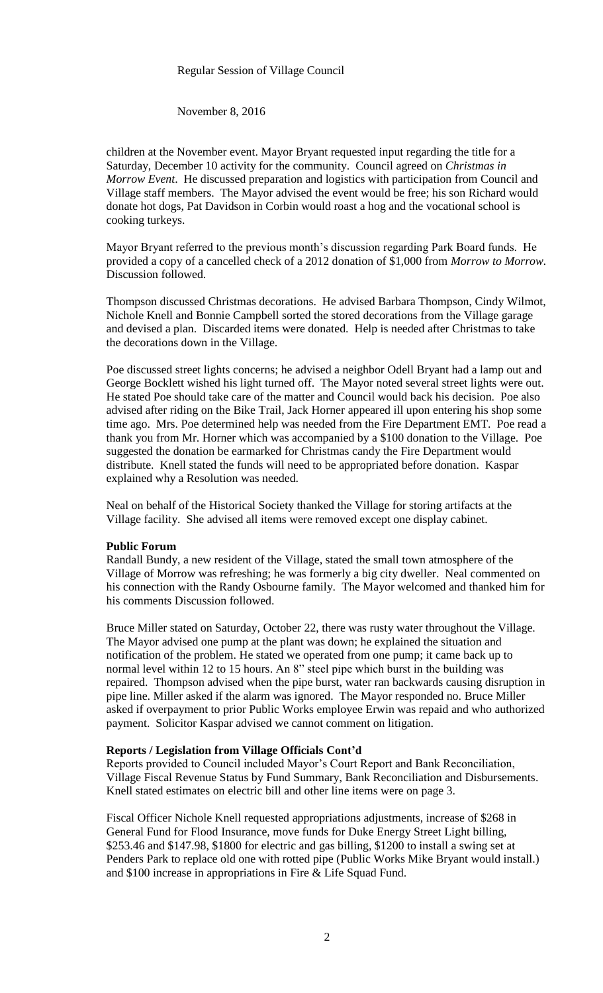## Regular Session of Village Council

November 8, 2016

children at the November event. Mayor Bryant requested input regarding the title for a Saturday, December 10 activity for the community. Council agreed on *Christmas in Morrow Event*. He discussed preparation and logistics with participation from Council and Village staff members. The Mayor advised the event would be free; his son Richard would donate hot dogs, Pat Davidson in Corbin would roast a hog and the vocational school is cooking turkeys.

Mayor Bryant referred to the previous month's discussion regarding Park Board funds. He provided a copy of a cancelled check of a 2012 donation of \$1,000 from *Morrow to Morrow.*  Discussion followed.

Thompson discussed Christmas decorations. He advised Barbara Thompson, Cindy Wilmot, Nichole Knell and Bonnie Campbell sorted the stored decorations from the Village garage and devised a plan. Discarded items were donated. Help is needed after Christmas to take the decorations down in the Village.

Poe discussed street lights concerns; he advised a neighbor Odell Bryant had a lamp out and George Bocklett wished his light turned off. The Mayor noted several street lights were out. He stated Poe should take care of the matter and Council would back his decision. Poe also advised after riding on the Bike Trail, Jack Horner appeared ill upon entering his shop some time ago. Mrs. Poe determined help was needed from the Fire Department EMT. Poe read a thank you from Mr. Horner which was accompanied by a \$100 donation to the Village. Poe suggested the donation be earmarked for Christmas candy the Fire Department would distribute. Knell stated the funds will need to be appropriated before donation. Kaspar explained why a Resolution was needed.

Neal on behalf of the Historical Society thanked the Village for storing artifacts at the Village facility. She advised all items were removed except one display cabinet.

### **Public Forum**

Randall Bundy, a new resident of the Village, stated the small town atmosphere of the Village of Morrow was refreshing; he was formerly a big city dweller. Neal commented on his connection with the Randy Osbourne family. The Mayor welcomed and thanked him for his comments Discussion followed.

Bruce Miller stated on Saturday, October 22, there was rusty water throughout the Village. The Mayor advised one pump at the plant was down; he explained the situation and notification of the problem. He stated we operated from one pump; it came back up to normal level within 12 to 15 hours. An 8" steel pipe which burst in the building was repaired. Thompson advised when the pipe burst, water ran backwards causing disruption in pipe line. Miller asked if the alarm was ignored. The Mayor responded no. Bruce Miller asked if overpayment to prior Public Works employee Erwin was repaid and who authorized payment. Solicitor Kaspar advised we cannot comment on litigation.

### **Reports / Legislation from Village Officials Cont'd**

Reports provided to Council included Mayor's Court Report and Bank Reconciliation, Village Fiscal Revenue Status by Fund Summary, Bank Reconciliation and Disbursements. Knell stated estimates on electric bill and other line items were on page 3.

Fiscal Officer Nichole Knell requested appropriations adjustments, increase of \$268 in General Fund for Flood Insurance, move funds for Duke Energy Street Light billing, \$253.46 and \$147.98, \$1800 for electric and gas billing, \$1200 to install a swing set at Penders Park to replace old one with rotted pipe (Public Works Mike Bryant would install.) and \$100 increase in appropriations in Fire & Life Squad Fund.